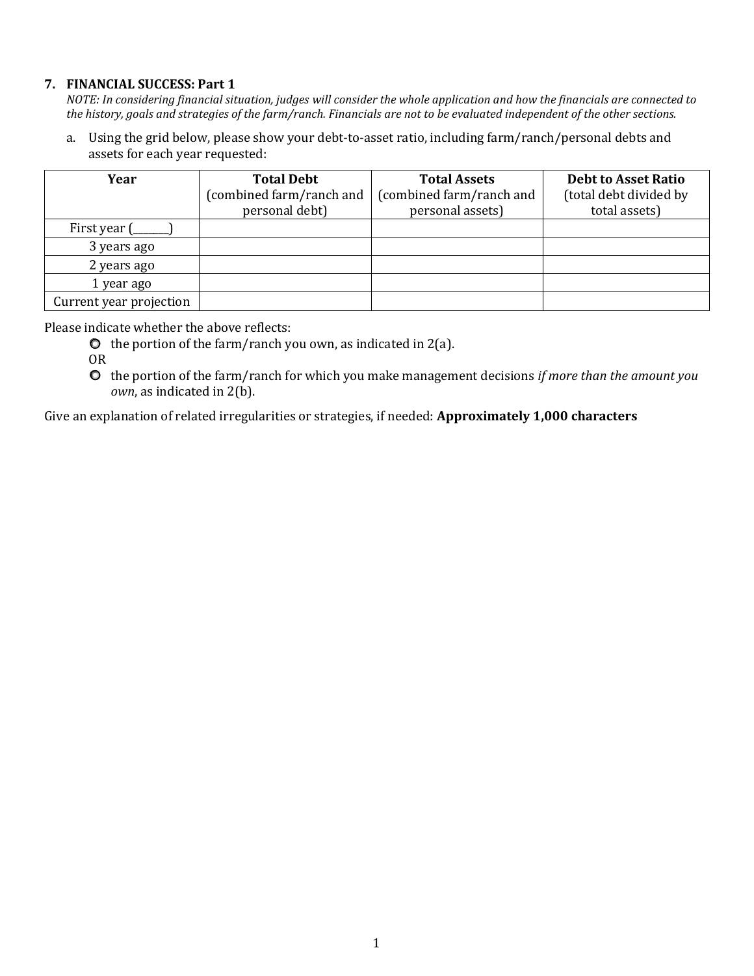## **7. FINANCIAL SUCCESS: Part 1**

*NOTE: In considering financial situation, judges will consider the whole application and how the financials are connected to the history, goals and strategies of the farm/ranch. Financials are not to be evaluated independent of the other sections.*

a. Using the grid below, please show your debt-to-asset ratio, including farm/ranch/personal debts and assets for each year requested:

| Year                    | <b>Total Debt</b>        | <b>Total Assets</b>      | <b>Debt to Asset Ratio</b> |
|-------------------------|--------------------------|--------------------------|----------------------------|
|                         | (combined farm/ranch and | (combined farm/ranch and | (total debt divided by     |
|                         | personal debt)           | personal assets)         | total assets)              |
| First year (            |                          |                          |                            |
| 3 years ago             |                          |                          |                            |
| 2 years ago             |                          |                          |                            |
| 1 year ago              |                          |                          |                            |
| Current year projection |                          |                          |                            |

Please indicate whether the above reflects:

- $\bullet$  the portion of the farm/ranch you own, as indicated in 2(a).
- OR
- the portion of the farm/ranch for which you make management decisions *if more than the amount you own*, as indicated in 2(b).

Give an explanation of related irregularities or strategies, if needed: **Approximately 1,000 characters**